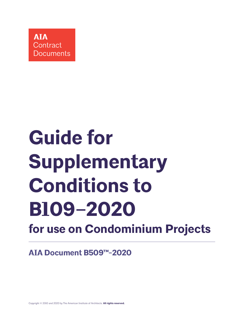

# **Guide for Supplementary Conditions to B109–2020 for use on Condominium Projects**

**AIA Document B509™-2020**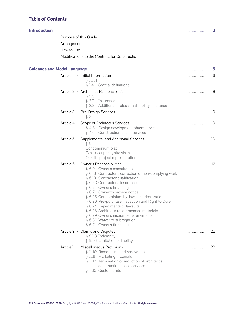# <span id="page-1-0"></span>**Table of Contents**

| <b>Introduction</b>                |                                                                                                                                                                                                                                                                                                                                                                                                                                                                                                                                                  | . | 3   |
|------------------------------------|--------------------------------------------------------------------------------------------------------------------------------------------------------------------------------------------------------------------------------------------------------------------------------------------------------------------------------------------------------------------------------------------------------------------------------------------------------------------------------------------------------------------------------------------------|---|-----|
|                                    | Purpose of this Guide                                                                                                                                                                                                                                                                                                                                                                                                                                                                                                                            |   |     |
|                                    | Arrangement                                                                                                                                                                                                                                                                                                                                                                                                                                                                                                                                      |   |     |
|                                    | How to Use                                                                                                                                                                                                                                                                                                                                                                                                                                                                                                                                       |   |     |
|                                    | Modifications to the Contract for Construction                                                                                                                                                                                                                                                                                                                                                                                                                                                                                                   |   |     |
|                                    |                                                                                                                                                                                                                                                                                                                                                                                                                                                                                                                                                  |   |     |
| <b>Guidance and Model Language</b> |                                                                                                                                                                                                                                                                                                                                                                                                                                                                                                                                                  | . | 5   |
|                                    | Article 1 - Initial Information<br>\$1.1.14<br>§ 1.4 Special definitions                                                                                                                                                                                                                                                                                                                                                                                                                                                                         | . | 6   |
|                                    | Article 2 - Architect's Responsibilities<br>$§$ 2.3<br>§ 2.7 Insurance<br>§ 2.8 Additional professional liability insurance                                                                                                                                                                                                                                                                                                                                                                                                                      | . | 8   |
|                                    | Article 3 - Pre-Design Services<br>§ 3.1                                                                                                                                                                                                                                                                                                                                                                                                                                                                                                         | . | 9   |
|                                    | Article 4 - Scope of Architect's Services<br>§ 4.3 Design development phase services<br>§ 4.6 Construction phase services                                                                                                                                                                                                                                                                                                                                                                                                                        | . | 9   |
|                                    | Article 5 - Supplemental and Additional Services<br>§ 5.1<br>Condominium plat<br>Post-occupancy site visits<br>On-site project representation                                                                                                                                                                                                                                                                                                                                                                                                    | . | -10 |
|                                    | Article 6 - Owner's Responsibilities<br>§ 6.9 Owner's consultants<br>§ 6.18 Contractor's correction of non-complying work<br>§ 6.19 Contractor qualification<br>§ 6.20 Contractor's insurance<br>§ 6.21 Owner's financing<br>§ 6.21 Owner to provide notice<br>§ 6.25 Condominium by-laws and declaration<br>§ 6.26 Pre-purchase inspection and Right to Cure<br>§ 6.27 Impediments to lawsuits<br>§ 6.28 Architect's recommended materials<br>§ 6.29 Owner's insurance requirements<br>§ 6.30 Waiver of subrogation<br>§ 6.21 Owner's financing | . | 12  |
|                                    | Article 9 - Claims and Disputes<br>§ 9.1.3 Indemnity<br>§ 9.1.6 Limitation of liability                                                                                                                                                                                                                                                                                                                                                                                                                                                          | . | 22  |
|                                    | Article II - Miscellaneous Provisions<br>§ 11.10 Remodeling and renovation<br>§ 11.11 Marketing materials<br>§ 11.12 Termination or reduction of architect's<br>construction phase services<br>§ 11.13 Custom units                                                                                                                                                                                                                                                                                                                              | . | 23  |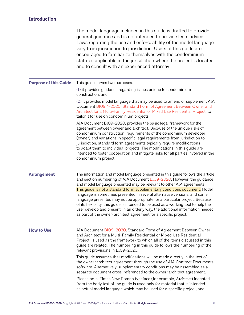# <span id="page-2-0"></span>**Introduction**

|                              | The model language included in this guide is drafted to provide<br>general guidance and is not intended to provide legal advice.<br>Laws regarding the use and enforceability of the model language<br>vary from jurisdiction to jurisdiction. Users of this guide are<br>encouraged to familiarize themselves with the condominium<br>statutes applicable in the jurisdiction where the project is located<br>and to consult with an experienced attorney.                                                                                                                                                                                                                                                              |
|------------------------------|--------------------------------------------------------------------------------------------------------------------------------------------------------------------------------------------------------------------------------------------------------------------------------------------------------------------------------------------------------------------------------------------------------------------------------------------------------------------------------------------------------------------------------------------------------------------------------------------------------------------------------------------------------------------------------------------------------------------------|
| <b>Purpose of this Guide</b> | This guide serves two purposes:                                                                                                                                                                                                                                                                                                                                                                                                                                                                                                                                                                                                                                                                                          |
|                              | (1) it provides guidance regarding issues unique to condominium<br>construction, and                                                                                                                                                                                                                                                                                                                                                                                                                                                                                                                                                                                                                                     |
|                              | (2) it provides model language that may be used to amend or supplement AIA<br>Document B109™-2020, Standard Form of Agreement Between Owner and<br>Architect for a Multi-Family Residential or Mixed Use Residential Project, to<br>tailor it for use on condominium projects.                                                                                                                                                                                                                                                                                                                                                                                                                                           |
|                              | AIA Document B109-2020, provides the basic legal framework for the<br>agreement between owner and architect. Because of the unique risks of<br>condominium construction, requirements of the condominium developer<br>(owner) and variations in specific legal requirements from jurisdiction to<br>jurisdiction, standard form agreements typically require modifications<br>to adapt them to individual projects. The modifications in this guide are<br>intended to foster cooperation and mitigate risks for all parties involved in the<br>condominium project.                                                                                                                                                     |
| <b>Arrangement</b>           | The information and model language presented in this guide follows the article<br>and section numbering of AIA Document B109-2020. However, the guidance<br>and model language presented may be relevant to other AIA agreements.<br>This guide is not a standard form supplementary conditions document. Model<br>language is sometimes presented in several alternative versions, and some<br>language presented may not be appropriate for a particular project. Because<br>of its flexibility, this guide is intended to be used as a working tool to help the<br>user develop and present, in an orderly way, the additional information needed<br>as part of the owner/architect agreement for a specific project. |
| <b>How to Use</b>            | AIA Document B109-2020, Standard Form of Agreement Between Owner<br>and Architect for a Multi-Family Residential or Mixed Use Residential<br>Project, is used as the framework to which all of the items discussed in this<br>guide are related. The numbering in this guide follows the numbering of the<br>relevant provisions in B109-2020.                                                                                                                                                                                                                                                                                                                                                                           |
|                              | This guide assumes that modifications will be made directly in the text of<br>the owner/architect agreement through the use of AIA Contract Documents<br>software. Alternatively, supplementary conditions may be assembled as a<br>separate document cross-referenced to the owner/architect agreement.                                                                                                                                                                                                                                                                                                                                                                                                                 |
|                              | Please note: Times New Roman typeface (for example, Architect) indented<br>from the body text of the guide is used only for material that is intended<br>as actual model language which may be used for a specific project, and                                                                                                                                                                                                                                                                                                                                                                                                                                                                                          |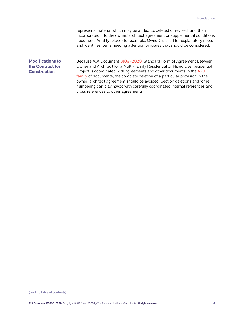represents material which may be added to, deleted or revised, and then incorporated into the owner/architect agreement or supplemental conditions document. Arial typeface (for example, Owner) is used for explanatory notes and identifies items needing attention or issues that should be considered.

# **Modifications to the Contract for Construction**

Because AIA Document [B109–2020](https://www.aiacontracts.org/contract-documents/6318554-owner-architect-multi-familymixed-use-residential), Standard Form of Agreement Between Owner and Architect for a Multi-Family Residential or Mixed Use Residential Project is coordinated with agreements and other documents in the [A201](https://www.aiacontracts.org/contract-doc-pages/72521-conventional-a201-family)  [family](https://www.aiacontracts.org/contract-doc-pages/72521-conventional-a201-family) of documents, the complete deletion of a particular provision in the owner/architect agreement should be avoided. Section deletions and/or renumbering can play havoc with carefully coordinated internal references and cross references to other agreements.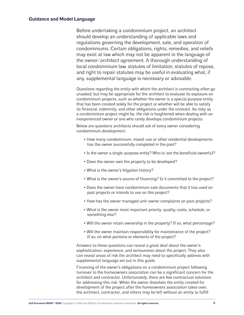# <span id="page-4-0"></span>**Guidance and Model Language**

Before undertaking a condominium project, an architect should develop an understanding of applicable laws and regulations governing the development, sale, and operation of condominiums. Certain obligations, rights, remedies, and reliefs may exist at law which may not be apparent in the language of the owner/architect agreement. A thorough understanding of local condominium law, statutes of limitation, statutes of repose, and right to repair statutes may be useful in evaluating what, if any, supplemental language is necessary or advisable.

Questions regarding the entity with which the architect is contracting often go unasked, but may be appropriate for the architect to evaluate its exposure on condominium projects, such as whether the owner is a special purpose entity that has been created solely for the project or whether will be able to satisfy its financial, indemnity, and other obligations under the contract. As risky as a condominium project might be, the risk is heightened when dealing with an inexperienced owner or one who rarely develops condominium projects.

Below are questions architects should ask of every owner considering condominium development:

- How many condominium, mixed-use or other residential developments has the owner successfully completed in the past?
- Is the owner a single-purpose entity? Who is/are the beneficial owner(s)?
- Does the owner own the property to be developed?
- What is the owner's litigation history?
- What is the owner's source of financing? Is it committed to the project?
- Does the owner have condominium sale documents that it has used on past projects or intends to use on this project?
- How has the owner managed unit-owner complaints on past projects?
- What is the owner most important priority: quality, costs, schedule, or something else?
- Will the owner retain ownership in the property? If so, what percentage?
- Will the owner maintain responsibility for maintenance of the project? If so, on what portions or elements of the project?

Answers to these questions can reveal a great deal about the owner's sophistication, experience, and seriousness about the project. They also can reveal areas of risk the architect may need to specifically address with supplemental language set out in this guide.

Financing of the owner's obligations on a condominium project following turnover to the homeowners association can be a significant concern for the architect and contractor. Unfortunately, there are few contractual solutions for addressing this risk. When the owner dissolves the entity created for development of the project after the homeowners association takes over, the architect, contractor, and others may be left without an entity to fulfill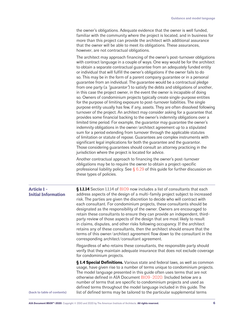the owner's obligations. Adequate evidence that the owner is well funded, familiar with the community where the project is located, and in business for more than this project can provide the architect with additional assurance that the owner will be able to meet its obligations. These assurances, however, are not contractual obligations.

The architect may approach financing of the owner's post-turnover obligations with contract language in a couple of ways. One way would be for the architect to obtain a separate contractual guarantee from an adequately funded entity or individual that will fulfill the owner's obligations if the owner fails to do so. This may be in the form of a parent company guarantee or in a personal guarantee from an individual. The guarantee would be a contractual pledge from one party (a "*guarantor*") to satisfy the debts and obligations of another, in this case the project owner, in the event the owner is incapable of doing so. Owners of condominium projects typically create single-purpose entities for the purpose of limiting exposure to post-turnover liabilities. The single purpose entity usually has few, if any, assets. They are often dissolved following turnover of the project. An architect may consider asking for a guarantee that provides some financial backing to the owner's indemnity obligations over a limited time period. For example, the guarantor may guarantee the owner's indemnity obligations in the owner/architect agreement up to a stipulated sum for a period extending from turnover through the applicable statutes of limitation or statute of repose. Guarantees are complex instruments with significant legal implications for both the guarantee and the guarantor. Those considering guarantees should consult an attorney practicing in the jurisdiction where the project is located for advice.

Another contractual approach to financing the owner's post-turnover obligations may be to require the owner to obtain a project-specific professional liability policy. See  $\S$  [6.29](#page-19-0) of this quide for further discussion on these types of policies.

<span id="page-5-0"></span>

| <b>Article 1-</b><br><b>Initial Information</b> | § 1.1.14 Section 1.1.14 of B109 now includes a list of consultants that each<br>address aspects of the design of a multi-family project subject to increased<br>risk. The parties are given the discretion to decide who will contract with<br>each consultant. For condominium projects, these consultants should be<br>designated as the responsibility of the owner. Owners are encouraged to<br>retain these consultants to ensure they can provide an independent, third-<br>party review of those aspects of the design that are most likely to result<br>in claims, disputes, and other risks following occupancy. If the architect<br>retains any of these consultants, then the architect should ensure that the<br>terms of this owner/architect agreement flow down to the consultant in the<br>corresponding architect/consultant agreement. |
|-------------------------------------------------|----------------------------------------------------------------------------------------------------------------------------------------------------------------------------------------------------------------------------------------------------------------------------------------------------------------------------------------------------------------------------------------------------------------------------------------------------------------------------------------------------------------------------------------------------------------------------------------------------------------------------------------------------------------------------------------------------------------------------------------------------------------------------------------------------------------------------------------------------------|
|                                                 | Regardless of who retains these consultants, the responsible party should<br>verify that they maintain adequate insurance that does not exclude coverage<br>for condominium projects.                                                                                                                                                                                                                                                                                                                                                                                                                                                                                                                                                                                                                                                                    |
| (back to table of contents)                     | § 1.4 Special Definitions. Various state and federal laws, as well as common<br>usage, have given rise to a number of terms unique to condominium projects.<br>The model language presented in this guide often uses terms that are not<br>otherwise defined in AIA Document B109-2020. Included below are a<br>number of terms that are specific to condominium projects and used as<br>defined terms throughout the model language included in this guide. The<br>list of defined terms may be tailored to the particular supplemental terms                                                                                                                                                                                                                                                                                                           |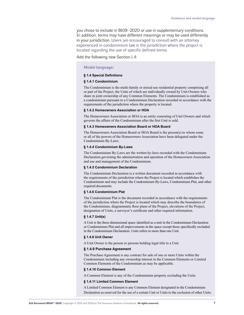you chose to include in B109–2020 or use in supplementary conditions. In addition, terms may have different meanings or may be used differently in your jurisdiction. Users are encouraged to consult with an attorney experienced in condominium law in the jurisdiction where the project is located regarding the use of specific defined terms.

Add the following new Section 1.4:

# **Model language:**

#### **§ 1.4 Special Definitions**

#### **§ 1.4.1 Condominium**

The Condominium is the multi-family or mixed use residential property comprising all or part of the Project, the Units of which are individually owned by Unit Owners who share in joint ownership of any Common Elements. The Condominium is established as a condominium pursuant to a Condominium Declaration recorded in accordance with the requirements of the jurisdiction where the property is located.

#### **§ 1.4.2 Homeowners Association or HOA**

The Homeowners Association or HOA is an entity consisting of Unit Owners and which governs the affairs of the Condominium after the first Unit is sold.

#### **§ 1.4.3 Homeowners Association Board or HOA Board**

The Homeowners Association Board or HOA Board is the person(s) to whom some or all of the powers of the Homeowners Association have been delegated under the Condominium By-Laws.

#### **§ 1.4.4 Condominium By-Laws**

The Condominium By-Laws are the written by-laws recorded with the Condominium Declaration governing the administration and operation of the Homeowners Association and use and management of the Condominium.

#### **§ 1.4.5 Condominium Declaration**

The Condominium Declaration is a written document recorded in accordance with the requirements of the jurisdiction where the Project is located which establishes the Condominium and may include the Condominium By-Laws, Condominium Plat, and other required documents.

#### **§ 1.4.6 Condominium Plat**

The Condominium Plat is the document recorded in accordance with the requirements of the jurisdiction where the Project is located which may describe the boundaries of the Condominium, diagrammatic floor plans of the Project, elevations of the Project, designation of Units, a surveyor's certificate and other required information.

#### **§ 1.4.7 Unit(s)**

A Unit is the three-dimensional space identified as a unit in the Condominium Declaration or Condominium Plat and all improvements in the space except those specifically excluded in the Condominium Declaration. Units refers to more than one Unit.

#### **§ 1.4.8 Unit Owner**

A Unit Owner is the person or persons holding legal title to a Unit.

#### **§ 1.4.9 Purchase Agreement**

The Purchase Agreement is any contract for sale of one or more Units within the Condominium including any ownership interest in the Common Elements or Limited Common Elements of the Condominium as may be applicable.

#### **§ 1.4.10 Common Element**

A Common Element is any of the Condominium property excluding the Units.

#### **§ 1.4.11 Limited Common Element**

A Limited Common Element is any Common Element designated in the Condominium Declaration as reserved for the use of a certain Unit or Units to the exclusion of other Units.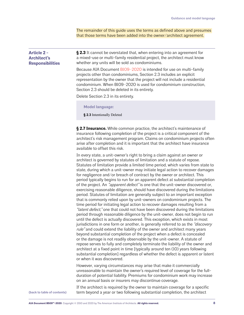The remainder of this guide uses the terms as defined above and presumes that those terms have been added into the owner/architect agreement.

<span id="page-7-0"></span>

| <b>Article 2 -</b><br><b>Architect's</b><br><b>Responsibilities</b> | § 2.3 It cannot be overstated that, when entering into an agreement for<br>a mixed-use or multi-family residential project, the architect must know<br>whether any units will be sold as condominiums.                                                                                                                                         |
|---------------------------------------------------------------------|------------------------------------------------------------------------------------------------------------------------------------------------------------------------------------------------------------------------------------------------------------------------------------------------------------------------------------------------|
|                                                                     | Because AIA Document B109-2020 is intended for use on multi-family<br>projects other than condominiums, Section 2.3 includes an explicit<br>representation by the owner that the project will not include a residential<br>condominium. When B109-2020 is used for condominium construction,<br>Section 2.3 should be deleted in its entirety. |
|                                                                     | $D_{\text{eff}}$ . $D_{\text{eff}}$ . The $D_{\text{eff}}$ is the settles that                                                                                                                                                                                                                                                                 |

Delete Section 2.3 in its entirety.

**Model language:**

**§ 2.3** Intentionally Deleted

**§ 2.7 Insurance.** While common practice, the architect's maintenance of insurance following completion of the project is a critical component of the architect's risk management program. Claims on condominium projects often arise after completion and it is important that the architect have insurance available to offset this risk.

In every state, a unit-owner's right to bring a claim against an owner or architect is governed by statutes of limitation and a statute of repose. Statutes of limitation provide a limited time period, which varies from state to state, during which a unit-owner may initiate legal action to recover damages for negligence and/or breach of contract by the owner or architect. This period typically begins to run for an apparent defect at substantial completion of the project. An *"apparent defect"* is one that the unit-owner discovered or, exercising reasonable diligence, should have discovered during the limitations period. Statutes of limitation are generally subject to an important exception that is commonly relied upon by unit-owners on condominium projects. The time period for initiating legal action to recover damages resulting from a "latent defect," one that could not have been discovered during the limitations period through reasonable diligence by the unit-owner, does not begin to run until the defect is actually discovered. This exception, which exists in most jurisdictions in one form or another, is generally referred to as the "*discovery* rule" and could extend the liability of the owner and architect many years beyond substantial completion of the project when a defect is concealed or the damage is not readily observable by the unit-owner. A statute of repose serves to fully and completely terminate the liability of the owner and architect at a fixed point in time [typically around ten (10) years following substantial completion] regardless of whether the defect is apparent or latent or when it was discovered.

However, varying circumstances may arise that make it commercially unreasonable to maintain the owner's required level of coverage for the fullduration of potential liability. Premiums for condominium work may increase on an annual basis or insurers may discontinue coverage.

**[\(back to table of contents\)](#page-1-0)**

If the architect is required by the owner to maintain coverage for a specific term beyond a year or two following substantial completion, the architect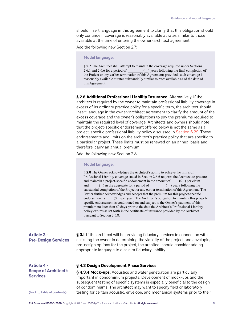should insert language in this agreement to clarify that this obligation should only continue if coverage is reasonably available at rates similar to those available at the time of entering the owner/architect agreement.

Add the following new Section 2.7:

### **Model language:**

**§ 2.7** The Architect shall attempt to maintain the coverage required under Sections 2.6.1 and 2.6.6 for a period of  $\qquad$  () years following the final completion of the Project or any earlier termination of this Agreement; provided, such coverage is reasonably available at rates substantially similar to rates available as of the date of this Agreement.

**§ 2.8 Additional Professional Liability Insurance.** Alternatively, if the architect is required by the owner to maintain professional liability coverage in excess of its ordinary practice policy for a specific term, the architect should insert language in the owner/architect agreement to clarify the amount of the excess coverage and the owner's obligations to pay the premiums required to maintain the required level of coverage. Architects and owners should note that the project-specific endorsement offered below is not the same as a project-specific professional liability policy discussed in [Section 6.29](#page-19-0). These endorsements add limits on the architect's practice policy that are specific to a particular project. These limits must be renewed on an annual basis and, therefore, carry an annual premium.

Add the following new Section 2.8:

#### **Model language:**

**§ 2.8** The Owner acknowledges the Architect's ability to achieve the limits of Professional Liability coverage stated in Section 2.6.6 requires the Architect to procure and maintain a project-specific endorsement in the amount of (\$ ) per claim and (\$) in the aggregate for a period of (b) years following the substantial completion of the Project or any earlier termination of this Agreement. The Owner further acknowledges and accepts that the premium for this project-specific endorsement is (\$) per year. The Architect's obligation to maintain this projectspecific endorsement is conditioned on and subject to the Owner's payment of this premium no later than 60 days prior to the date the Architect's Professional Liability policy expires as set forth in the certificate of insurance provided by the Architect pursuant to Section 2.6.8.

<span id="page-8-0"></span>

| <b>Article 3 -</b><br><b>Pre-Design Services</b> | § 3.1 If the architect will be providing fiduciary services in connection with<br>assisting the owner in determining the viability of the project and developing<br>pre-design options for the project, the architect should consider adding<br>appropriate language to disclaim fiduciary liability. |
|--------------------------------------------------|-------------------------------------------------------------------------------------------------------------------------------------------------------------------------------------------------------------------------------------------------------------------------------------------------------|
| <b>Article 4 -</b>                               | §4.3 Design Development Phase Services                                                                                                                                                                                                                                                                |
| <b>Scope of Architect's</b>                      | <b>§4.3.4 Mock-ups.</b> Acoustics and water penetration are particularly                                                                                                                                                                                                                              |

**§ 4.3.4 Mock-ups.** Acoustics and water penetration are particularly important in condominium projects. Development of mock-ups and the subsequent testing of specific systems is especially beneficial to the design of condominiums. The architect may want to specify field or laboratory testing for certain acoustic, envelope, and mechanical systems prior to their

**[\(back to table of contents\)](#page-1-0)**

<span id="page-8-1"></span>**Services**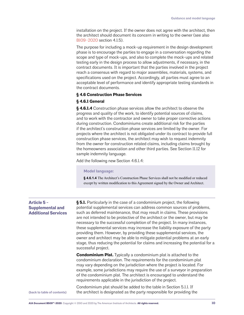installation on the project. If the owner does not agree with the architect, then the architect should document its concern in writing to the owner (see also [B109–2020](https://www.aiacontracts.org/contract-documents/6318554-owner-architect-multi-familymixed-use-residential) section 4.1.5).

The purpose for including a mock-up requirement in the design development phase is to encourage the parties to engage in a conversation regarding the scope and type of mock-ups, and also to complete the mock-ups and related testing early in the design process to allow adjustments, if necessary, in the contract documents. It is important that the parties involved in the project reach a consensus with regard to major assemblies, materials, systems, and specifications used on the project. Accordingly, all parties must agree to an acceptable level of performance and identify appropriate testing standards in the contract documents.

# **§ 4.6 Construction Phase Services**

# **§ 4.6.1 General**

**§ 4.6.1.4** Construction phase services allow the architect to observe the progress and quality of the work, to identify potential sources of claims, and to work with the contractor and owner to take proper corrective actions during construction. Condominiums create additional risk for the parties if the architect's construction phase services are limited by the owner. For projects where the architect is not obligated under its contract to provide full construction phase services, the architect may wish to request indemnity from the owner for construction related claims, including claims brought by the homeowners association and other third parties. See Section 11.12 for sample indemnity language.

Add the following new Section 4.6.1.4:

# **Model language:**

**§ 4.6.1.4** The Architect's Construction Phase Services shall not be modified or reduced except by written modification to this Agreement signed by the Owner and Architect.

<span id="page-9-0"></span>

| <b>Article 5 -</b>         |  |
|----------------------------|--|
| <b>Supplemental and</b>    |  |
| <b>Additional Services</b> |  |

**§ 5.1.** Particularly in the case of a condominium project, the following potential supplemental services can address common sources of problems, such as deferred maintenance, that may result in claims. These provisions are not intended to be protective of the architect or the owner, but may be necessary to the successful completion of the project. In many instances, these supplemental services may increase the liability exposure of the party providing them. However, by providing these supplemental services, the owner and architect may be able to mitigate potential problems at an early stage, thus reducing the potential for claims and increasing the potential for a successful project.

**Condominium Plat.** Typically a condominium plat is attached to the condominium declaration. The requirements for the condominium plat may vary depending on the jurisdiction where the project is located. For example, some jurisdictions may require the use of a surveyor in preparation of the condominium plat. The architect is encouraged to understand the requirements applicable in the jurisdiction of the project.

Condominium plat should be added to the table in Section 5.1.1. If the architect is designated as the party responsible for providing the **[\(back to table of contents\)](#page-1-0)**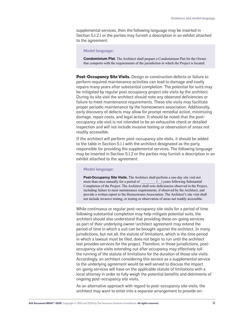supplemental services, then the following language may be inserted in Section 5.1.2.1 or the parties may furnish a description in an exhibit attached to the agreement:

# **Model language:**

**Condominium Plat.** The Architect shall prepare a Condominium Plat for the Owner that comports with the requirements of the jurisdiction in which the Project is located.

**Post-Occupancy Site Visits.** Design or construction defects or failure to perform required maintenance activities can lead to damage and costly repairs many years after substantial completion. The potential for suits may be mitigated by regular post occupancy project site visits by the architect. During its site visit the architect should note any observed deficiencies or failure to meet maintenance requirements. These site visits may facilitate proper periodic maintenance by the homeowners association. Additionally, early discovery of defects may allow for prompt remedial action, minimizing damage, repair costs, and legal action. It should be noted that the postoccupancy site visit is not intended to be an exhaustive check or detailed inspection and will not include invasive testing or observation of areas not readily accessible.

If the architect will perform post-occupancy site visits, it should be added to the table in Section 5.1.1 with the architect designated as the party responsible for providing the supplemental services. The following language may be inserted in Section 5.1.2 or the parties may furnish a description in an exhibit attached to the agreement:

#### **Model language:**

**Post-Occupancy Site Visits.** The Architect shall perform a one-day site visit not more than once annually for a period of () years following Substantial more than once annually for a period of Completion of the Project. The Architect shall note deficiencies observed in the Project, including failure to meet maintenance requirements, if observed by the Architect, and provide a written report to the Homeowners Association. The Architect's site visit shall not include invasive testing, or testing or observation of areas not readily accessible.

While continuous or regular post-occupancy site visits for a period of time following substantial completion may help mitigate potential suits, the architect should also understand that providing these on-going services as part of their underlying owner/architect agreement may extend the period of time in which a suit can be brought against the architect. In many jurisdictions, but not all, the statute of limitations, which is the time period in which a lawsuit must be filed, does not begin to run until the architect last provides services for the project. Therefore, in those jurisdictions, postoccupancy site visits extending out after occupancy may effectively toll the running of the statute of limitations for the duration of those site visits. Accordingly, an architect considering this service as a supplemental service to the underlying agreement would be well served to discuss the impact on-going services will have on the applicable statute of limitations with a local attorney in order to fully weigh the potential benefits and detriments of ongoing post-occupancy site visits.

As an alternative approach with regard to post-occupancy site visits, the architect may want to enter into a separate arrangement to provide on-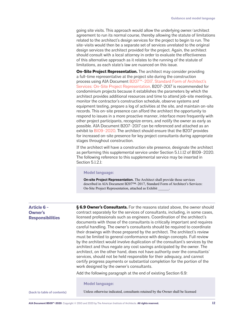going site visits. This approach would allow the underlying owner/architect agreement to run its normal course, thereby allowing the statute of limitations related to the architect's design services for the project to begin to run. The site-visits would then be a separate set of services unrelated to the original design services the architect provided for the project. Again, the architect should consult with a local attorney in order to evaluate the effectiveness of this alternative approach as it relates to the running of the statute of limitations, as each state's law are nuanced on this issue.

**On-Site Project Representation.** The architect may consider providing a full-time representative at the project site during the construction process using AIA Document B207<sup>™</sup>-2017, Standard Form of Architect's [Services: On-Site Project Representation.](https://www.aiacontracts.org/contract-documents/155136-standard-form-of-architects-services-on-site-project-representation) B207–2017 is recommended for condominium projects because it establishes the parameters by which the architect provides additional resources and time to attend job-site meetings, monitor the contractor's construction schedule, observe systems and equipment testing, prepare a log of activities at the site, and maintain on-site records. This on-site presence can afford the architect the opportunity to respond to issues in a more proactive manner, interface more frequently with other project participants, recognize errors, and notify the owner as early as possible. AIA Document B207–2017 can be referenced and attached as an exhibit to [B109–2020](https://www.aiacontracts.org/contract-documents/6318554-owner-architect-multi-familymixed-use-residential). The architect should ensure that the B207 provides for increased on-site presence for key project consultants during appropriate stages throughout construction.

If the architect will have a construction site presence, designate the architect as performing this supplemental service under Section 5.1.1.12 of B109–2020. The following reference to this supplemental service may be inserted in Section 5.1.2.1:

## **Model language:**

**On-site Project Representation.** The Architect shall provide those services described in AIA Document B207™–2017, Standard Form of Architect's Services: On-Site Project Representation, attached as Exhibit \_

**§ 6.9 Owner's Consultants.** For the reasons stated above, the owner should

# <span id="page-11-0"></span>**Article 6 - Owner Respo**

| r's                | contract separately for the services of consultants, including, in some cases, |
|--------------------|--------------------------------------------------------------------------------|
| <b>nsibilities</b> | licensed professionals such as engineers. Coordination of the architect's      |
|                    | documents with those of the consultants is critically important and requires   |
|                    | careful handling. The owner's consultants should be required to coordinate     |
|                    | their drawings with those prepared by the architect. The architect's review    |
|                    | must be limited to general conformance with design concepts. Full review       |
|                    | by the architect would involve duplication of the consultant's services by the |
|                    | architect and thus negate any cost savings anticipated by the owner. The       |
|                    | architect, on the other hand, does not have authority over the consultants'    |
|                    | services, should not be held responsible for their adequacy, and cannot        |
|                    | certify progress payments or substantial completion for the portion of the     |
|                    | work designed by the owner's consultants.                                      |
|                    |                                                                                |
|                    | Add the following paragraph at the end of existing Section 6.9:                |
|                    |                                                                                |
|                    | Model Janguage:                                                                |

**Model language:**

**[\(back to table of contents\)](#page-1-0)**

Unless otherwise indicated, consultants retained by the Owner shall be licensed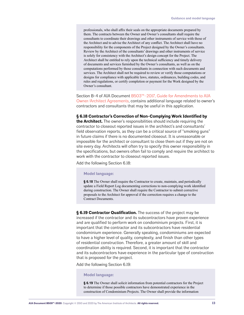professionals, who shall affix their seals on the appropriate documents prepared by them. The contracts between the Owner and Owner's consultants shall require the consultants to coordinate their drawings and other instruments of service with those of the Architect and to advise the Architect of any conflict. The Architect shall have no responsibility for the components of the Project designed by the Owner's consultants. Review by the Architect of the consultants' drawings and other instruments of service is solely for consistency with the Architect's design concept for the Project. The Architect shall be entitled to rely upon the technical sufficiency and timely delivery of documents and services furnished by the Owner's consultants, as well as on the computations performed by those consultants in connection with such documents and services. The Architect shall not be required to review or verify those computations or designs for compliance with applicable laws, statutes, ordinances, building codes, and rules and regulations, or certify completion or payment for the Work designed by the Owner's consultant.

Section B-4 of AIA Document B503<sup>™</sup>-2017, Guide for Amendments to AIA [Owner/Architect Agreements](https://www.aiacontracts.org/resources/64361-b5032017-guide-for-amendments-to-aia-owner-architect-agreements), contains additional language related to owner's contractors and consultants that may be useful in this application.

# **§ 6.18 Contractor's Correction of Non-Complying Work Identified by**

**the Architect.** The owner's responsibilities should include requiring the contractor to closeout reported issues in the architect's and consultants' field observation reports, as they can be a critical source of "smoking guns" in future claims if there is no documented closeout. It is unreasonable or impossible for the architect or consultant to close them out if they are not on site every day. Architects will often try to specify this owner responsibility in the specifications, but owners often fail to comply and require the architect to work with the contractor to closeout reported issues.

Add the following Section 6.18:

# **Model language:**

**§ 6.18** The Owner shall require the Contractor to create, maintain, and periodically update a Field Report Log documenting corrections to non-complying work identified during construction. The Owner shall require the Contractor to submit corrective proposals to the Architect for approval if the correction requires a change to the Contract Documents.

**§ 6.19 Contractor Qualification.** The success of the project may be increased if the contractor and its subcontractors have proven experience and are qualified to perform work on condominium projects. First, it is important that the contractor and its subcontractors have residential condominium experience. Generally speaking, condominiums are expected to have a higher level of quality, complexity, and finish than other types of residential construction. Therefore, a greater amount of skill and coordination ability is required. Second, it is important that the contractor and its subcontractors have experience in the particular type of construction that is proposed for the project.

Add the following Section 6.19:

#### **Model language:**

**§ 6.19** The Owner shall solicit information from potential contractors for the Project to determine if those possible contractors have demonstrated experience in the construction of Condominium Projects. The Owner shall provide the information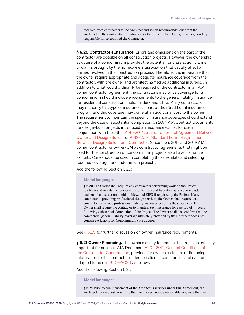received from contractors to the Architect and solicit recommendations from the Architect on the most suitable contractor for the Project. The Owner, however, is solely responsible for selection of the Contractor.

**§ 6.20 Contractor's Insurance.** Errors and omissions on the part of the contractor are possible on all construction projects. However, the ownership structure of a condominium provides the potential for class action claims or claims brought by the homeowners association that usually affect all parties involved in the construction process. Therefore, it is imperative that the owner require appropriate and adequate insurance coverage from the contractor, with the owner and architect named as additional insureds. In addition to what would ordinarily be required of the contractor in an AIA owner/contractor agreement, the contractor's insurance coverage for a condominium should include endorsements to the general liability insurance for residential construction, mold, mildew, and EIFS. Many contractors may not carry this type of insurance as part of their traditional insurance program and this coverage may come at an additional cost to the owner. The requirement to maintain the specific insurance coverages should extend beyond the date of substantial completion. In 2014 AIA Contract Documents for design-build projects introduced an insurance exhibit for use in conjunction with the either [A141–2014, Standard Form of Agreement Between](https://www.aiacontracts.org/contract-documents/20736-owner-design-builder-agreement)  [Owner and Design-Builder](https://www.aiacontracts.org/contract-documents/20736-owner-design-builder-agreement) or [A142–2014, Standard Form of Agreement](https://www.aiacontracts.org/contract-documents/20541-design-builder-contractor-)  [Between Design-Builder and Contractor.](https://www.aiacontracts.org/contract-documents/20541-design-builder-contractor-) Since then, 2017 and 2019 AIA owner/contractor or owner/CM as constructor agreements that might be used for the construction of condominium projects also have insurance exhibits. Care should be used in completing those exhibits and selecting required coverage for condominium projects.

Add the following Section 6.20:

# **Model language:**

**§ 6.20** The Owner shall require any contractors performing work on the Project to obtain and maintain endorsements to their general liability insurance to include residential construction, mold, mildew, and EIFS if required by the Project. If any contractor is providing professional design services, the Owner shall require that contractor to provide professional liability insurance covering those services. The Owner shall require the contractor to maintain such insurance for a period of \_\_ years following Substantial Completion of the Project. The Owner shall also confirm that the commercial general liability coverage ultimately provided by the Contractor does not contain exclusions for Condominium construction.

See  $\S$  [6.29](#page-19-0) for further discussion on owner insurance requirements.

**§ 6.21 Owner Financing.** The owner's ability to finance the project is critically important for success. AIA Document [A201–2017, General Conditions of](https://www.aiacontracts.org/contract-documents/25131-general-conditions-of-the-contract-for-construction)  [the Contract for Construction](https://www.aiacontracts.org/contract-documents/25131-general-conditions-of-the-contract-for-construction), provides for owner disclosure of financing information to the contractor under specified circumstances and can be adapted for use in [B109–2020](https://www.aiacontracts.org/contract-documents/6318554-owner-architect-multi-familymixed-use-residential) as follows.

Add the following Section 6.21:

# **Model language:**

**§ 6.21** Prior to commencement of the Architect's services under this Agreement, the Architect may request in writing that the Owner provide reasonable evidence that the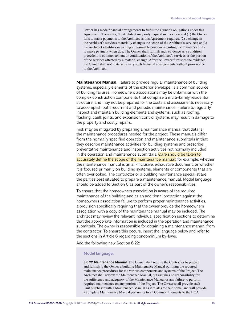Owner has made financial arrangements to fulfill the Owner's obligations under this Agreement. Thereafter, the Architect may only request such evidence if (1) the Owner fails to make payments to the Architect as this Agreement requires; (2) a change in the Architect's services materially changes the scope of the Architect's services; or (3) the Architect identifies in writing a reasonable concern regarding the Owner's ability to make payment when due. The Owner shall furnish such evidence as a condition precedent to commencement or continuation of the Architect's services or the portion of the services affected by a material change. After the Owner furnishes the evidence, the Owner shall not materially vary such financial arrangements without prior notice to the Architect.

**Maintenance Manual.** Failure to provide regular maintenance of building systems, especially elements of the exterior envelope, is a common source of building failures. Homeowners associations may be unfamiliar with the complex construction components that comprise a multi-family residential structure, and may not be prepared for the costs and assessments necessary to accomplish both recurrent and periodic maintenance. Failure to regularly inspect and maintain building elements and systems, such as roofing, flashing, caulk joints, and expansion control systems may result in damage to the property and costly repairs.

Risk may be mitigated by preparing a maintenance manual that details the maintenance procedures needed for the project. These manuals differ from the normally specified operation and maintenance submittals in that they describe maintenance activities for building systems and prescribe preventative maintenance and inspection activities not normally included in the operation and maintenance submittals. Care should be taken to accurately define the scope of the maintenance manual; for example, whether the maintenance manual is an all-inclusive, exhaustive document, or whether it is focused primarily on building systems, elements or components that are often overlooked. The contractor or a building maintenance specialist are the parties best situated to prepare a maintenance manual. Model language should be added to Section 6 as part of the owner's responsibilities.

To ensure that the homeowners association is aware of the required maintenance of the building and as an additional protection against the homeowners association failure to perform proper maintenance activities, a provision specifically requiring that the owner provide the homeowners association with a copy of the maintenance manual may be included. The architect may review the relevant individual specification sections to determine that the appropriate information is included in the operation and maintenance submittals. The owner is responsible for obtaining a maintenance manual from the contractor. To ensure this occurs, insert the language below and refer to the sections in Article 6 regarding condominium by-laws.

Add the following new Section 6.22:

# **Model language:**

**§ 6.22 Maintenance Manual.** The Owner shall require the Contractor to prepare and furnish to the Owner a building Maintenance Manual outlining the required maintenance procedures for the various components and systems of the Project. The Architect shall review the Maintenance Manual, but assumes no responsibility for the sufficiency and adequacy of the Maintenance Manual or any failure to perform required maintenance on any portion of the Project. The Owner shall provide each Unit purchaser with a Maintenance Manual as it relates to their home, and will provide a complete Maintenance Manual pertaining to all Common Elements to the HOA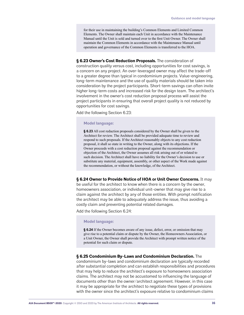for their use in maintaining the building's Common Elements and Limited Common Elements. The Owner shall maintain each Unit in accordance with the Maintenance Manual until the Unit is sold and turned over to the first Unit Owner. The Owner shall maintain the Common Elements in accordance with the Maintenance Manual until operation and governance of the Common Elements is transferred to the HOA.

**§ 6.23 Owner's Cost Reduction Proposals.** The consideration of construction quality versus cost, including opportunities for cost savings, is a concern on any project. An over-leveraged owner may affect the trade-off to a greater degree than typical in condominium projects. Value-engineering, long-term maintenance and the use of quality materials should be taken into consideration by the project participants. Short-term savings can often invite higher long-term costs and increased risk for the design team. The architect's involvement in the owner's cost reduction proposal process will assist the project participants in ensuring that overall project quality is not reduced by opportunities for cost savings.

Add the following Section 6.23:

# **Model language:**

**§ 6.23** All cost reduction proposals considered by the Owner shall be given to the Architect for review. The Architect shall be provided adequate time to review and respond to such proposals. If the Architect reasonably objects to any cost reduction proposal, it shall so state in writing to the Owner, along with its objections. If the Owner proceeds with a cost reduction proposal against the recommendation or objection of the Architect, the Owner assumes all risk arising out of or related to such decision. The Architect shall have no liability for the Owner's decision to use or substitute any material, equipment, assembly, or other aspect of the Work made against the recommendation, or without the knowledge, of the Architect.

**§ 6.24 Owner to Provide Notice of HOA or Unit Owner Concerns.** It may be useful for the architect to know when there is a concern by the owner, homeowners association, or individual unit-owner that may give rise to a claim against the architect by any of those entities. With prompt notification the architect may be able to adequately address the issue, thus avoiding a costly claim and preventing potential related damages.

Add the following Section 6.24:

# **Model language:**

**§ 6.24** If the Owner becomes aware of any issue, defect, error, or omission that may give rise to a potential claim or dispute by the Owner, the Homeowners Association, or a Unit Owner, the Owner shall provide the Architect with prompt written notice of the potential for such claim or dispute.

# **§ 6.25 Condominium By-Laws and Condominium Declaration.** The

condominium by-laws and condominium declaration are typically recorded after substantial completion and can establish responsibilities and procedures that may help to reduce the architect's exposure to homeowners association claims. The architect may not be accustomed to influencing the language of documents other than the owner/architect agreement. However, in this case it may be appropriate for the architect to negotiate these types of provisions with the owner since the architect's exposure relative to condominium claims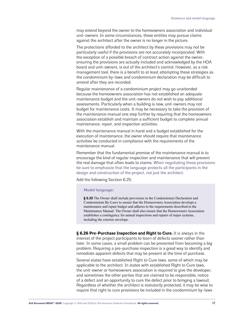may extend beyond the owner to the homeowners association and individual unit-owners. In some circumstances, these entities may pursue claims against the architect after the owner is no longer in the picture.

The protections afforded to the architect by these provisions may not be particularly useful if the provisions are not accurately incorporated. With the exception of a possible breach of contract action against the owner, ensuring the provisions are actually included and acknowledged by the HOA board and unit-owners, is out of the architect's control. However, as a risk management tool, there is a benefit to at least attempting these strategies as the condominium by-laws and condominium declaration may be difficult to amend after they are recorded.

Regular maintenance of a condominium project may go unattended because the homeowners association has not established an adequate maintenance budget and the unit-owners do not wish to pay additional assessments. Particularly when a building is new, unit-owners may not budget for maintenance costs. It may be necessary to take the provision of the maintenance manual one step further by requiring that the homeowners association establish and maintain a sufficient budget to complete annual maintenance, repair, and inspection activities.

With the maintenance manual in hand and a budget established for the execution of maintenance, the owner should require that maintenance activities be conducted in compliance with the requirements of the maintenance manual.

Remember that the fundamental premise of the maintenance manual is to encourage the kind of regular inspection and maintenance that will prevent the real damage that often leads to claims. When negotiating these provisions be sure to emphasize that the language protects all the participants in the design and construction of the project, not just the architect.

Add the following Section 6.25:

# **Model language:**

**§ 6.25** The Owner shall include provisions in the Condominium Declaration and Condominium By-Laws to ensure that the Homeowners Association develops a maintenance and repair budget and adheres to the requirements described in the Maintenance Manual. The Owner shall also ensure that the Homeowners Association establishes a contingency for annual inspections and repairs of major systems, including the exterior envelope.

**§ 6.26 Pre-Purchase Inspection and Right to Cure.** It is always in the interest of the project participants to learn of defects sooner rather than later. In some cases, a small problem can be prevented from becoming a big problem. Requiring a pre-purchase inspection is a good way to identify and remediate apparent defects that may be present at the time of purchase.

Several states have established Right to Cure laws, some of which may be applicable to the architect. In states with established Right to Cure laws, the unit-owner or homeowners association is required to give the developer, and sometimes the other parties that are claimed to be responsible, notice of a defect and an opportunity to cure the defect prior to bringing a lawsuit. Regardless of whether the architect is statutorily protected, it may be wise to require that right to cure provisions be included in the condominium by-laws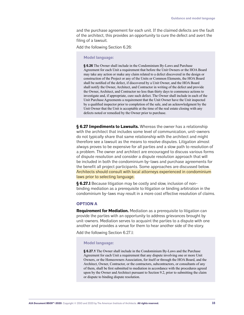and the purchase agreement for each unit. If the claimed defects are the fault of the architect, this provides an opportunity to cure the defect and avert the filing of a lawsuit.

Add the following Section 6.26:

#### **Model language:**

**§ 6.26** The Owner shall include in the Condominium By-Laws and Purchase Agreement for each Unit a requirement that before the Unit Owners or the HOA Board may take any action or make any claim related to a defect discovered in the design or construction of the Project or any of the Units or Common Elements, the HOA Board shall be notified of the defect, if discovered by a Unit Owner, and the HOA Board shall notify the Owner, Architect, and Contractor in writing of the defect and provide the Owner, Architect, and Contractor no less than thirty days to commence actions to investigate and, if appropriate, cure such defect. The Owner shall include in each of the Unit Purchase Agreements a requirement that the Unit Owner have the Unit inspected by a qualified inspector prior to completion of the sale, and an acknowledgment by the Unit Owner that the Unit is acceptable at the time of the real estate closing with any defects noted or remedied by the Owner prior to purchase.

**§ 6.27 Impediments to Lawsuits.** Whereas the owner has a relationship with the architect that includes some level of communication, unit-owners do not typically share that same relationship with the architect and might therefore see a lawsuit as the means to resolve disputes. Litigation almost always proves to be expensive for all parties and a slow path to resolution of a problem. The owner and architect are encouraged to discuss various forms of dispute resolution and consider a dispute resolution approach that will be included in both the condominium by-laws and purchase agreements for the benefit all project participants. Some approaches are discussed below. Architects should consult with local attorneys experienced in condominium laws prior to selecting language.

**§ 6.27.1** Because litigation may be costly and slow, inclusion of nonbinding mediation as a prerequisite to litigation or binding arbitration in the condominium by-laws may result in a more cost effective resolution of claims.

# **OPTION A**

**Requirement for Mediation.** Mediation as a prerequisite to litigation can provide the parties with an opportunity to address grievances brought by unit-owners. Mediation serves to acquaint the parties to a dispute with one another and provides a venue for them to hear another side of the story.

Add the following Section 6.27.1:

# **Model language:**

**§ 6.27.1** The Owner shall include in the Condominium By-Laws and the Purchase Agreement for each Unit a requirement that any dispute involving one or more Unit Owners, or the Homeowners Association, for itself or through the HOA Board, and the Architect, Owner, Contractor, or the contractors, subcontractors, or consultants of any of them, shall be first submitted to mediation in accordance with the procedures agreed upon by the Owner and Architect pursuant to Section 9.2, prior to submitting the claim or dispute to binding dispute resolution.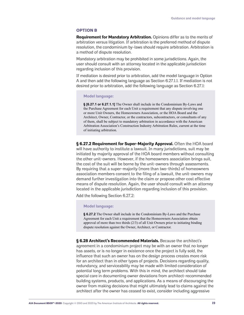# **OPTION B**

**Requirement for Mandatory Arbitration.** Opinions differ as to the merits of arbitration versus litigation. If arbitration is the preferred method of dispute resolution, the condominium by-laws should require arbitration. Arbitration is a method of dispute resolution.

Mandatory arbitration may be prohibited in some jurisdictions. Again, the user should consult with an attorney located in the applicable jurisdiction regarding inclusion of this provision.

If mediation is desired prior to arbitration, add the model language in Option A and then add the following language as Section 6.27.1.1. If mediation is not desired prior to arbitration, add the following language as Section 6.27.1:

# **Model language:**

**§ [6.27.1 or 6.27.1.1]** The Owner shall include in the Condominium By-Laws and the Purchase Agreement for each Unit a requirement that any dispute involving one or more Unit Owners, the Homeowners Association, or the HOA Board and the Architect, Owner, Contractor, or the contractors, subcontractors, or consultants of any of them, shall be subject to mandatory arbitration in accordance with the American Arbitration Association's Construction Industry Arbitration Rules, current at the time of initiating arbitration.

**§ 6.27.2 Requirement for Super-Majority Approval.** Often the HOA board will have authority to institute a lawsuit. In many jurisdictions, suit may be initiated by majority approval of the HOA board members without consulting the other unit-owners. However, if the homeowners association brings suit, the cost of the suit will be borne by the unit-owners through assessments. By requiring that a super-majority (more than two-thirds) of homeowners association members consent to the filing of a lawsuit, the unit-owners may demand further investigation into the claim or propose other cost effective means of dispute resolution. Again, the user should consult with an attorney located in the applicable jurisdiction regarding inclusion of this provision.

Add the following Section 6.27.2:

# **Model language:**

**§ 6.27.2** The Owner shall include in the Condominium By-Laws and the Purchase Agreement for each Unit a requirement that the Homeowners Association obtain approval of more than two thirds (2/3) of all Unit Owners prior to initiating binding dispute resolution against the Owner, Architect, or Contractor.

**§ 6.28 Architect's Recommended Materials.** Because the architect's agreement in a condominium project may be with an owner that no longer has assets, or is no longer in existence once the project is fully sold, the influence that such an owner has on the design process creates more risk for an architect than in other types of projects. Decisions regarding quality, redundancy, and serviceability may be made with limited consideration of potential long term problems. With this in mind, the architect should take special care in documenting owner deviations from architect-recommended building systems, products, and applications. As a means of discouraging the owner from making decisions that might ultimately lead to claims against the architect after the owner has ceased to exist, consider including aggressive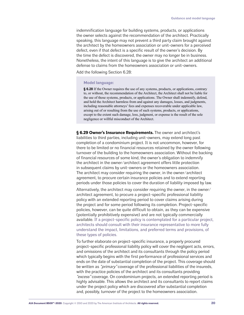indemnification language for building systems, products, or applications the owner selects against the recommendation of the architect. Practically speaking, this language may not prevent a third party claim brought against the architect by the homeowners association or unit-owners for a perceived defect, even if that defect is a specific result of the owner's decision. By the time the defect is discovered, the owner may no longer be in business. Nonetheless, the intent of this language is to give the architect an additional defense to claims from the homeowners association or unit-owners.

Add the following Section 6.28:

#### **Model language:**

**§ 6.28** If the Owner requires the use of any systems, products, or applications, contrary to, or without, the recommendation of the Architect, the Architect shall not be liable for the use of those systems, products, or applications. The Owner shall indemnify, defend, and hold the Architect harmless from and against any damages, losses, and judgments, including reasonable attorneys' fees and expenses recoverable under applicable law, arising out of or resulting from the use of such systems, products, or applications, except to the extent such damage, loss, judgment, or expense is the result of the sole negligence or willful misconduct of the Architect.

<span id="page-19-0"></span>**§ 6.29 Owner's Insurance Requirements.** The owner and architect's liabilities to third parties, including unit-owners, may extend long past completion of a condominium project. It is not uncommon, however, for there to be limited or no financial resources retained by the owner following turnover of the building to the homeowners association. Without the backing of financial resources of some kind, the owner's obligation to indemnify the architect in the owner/architect agreement offers little protection in subsequent claims by unit-owners or the homeowners association. The architect may consider requiring the owner, in the owner/architect agreement, to procure certain insurance policies and to extend reporting periods under those policies to cover the duration of liability imposed by law.

Alternatively, the architect may consider requiring the owner, in the owner/ architect agreement, to procure a project-specific professional liability policy with an extended reporting period to cover claims arising during the project and for some period following its completion. Project-specific policies, however, can be quite difficult to obtain, as they can be expensive (potentially prohibitively expensive) and are not typically commercially available. If a project-specific policy is contemplated for a particular project, architects should consult with their insurance representative to more fully understand the impact, limitations, and preferred terms and provisions, of these types of policies.

To further elaborate on project-specific insurance, a properly procured project-specific professional liability policy will cover the negligent acts, errors, and omissions of the architect and its consultants through the policy period which typically begins with the first performance of professional services and ends on the date of substantial completion of the project. This coverage should be written as "*primary*" coverage of the professional liabilities of the insureds, with the practice policies of the architect and its consultants providing "excess" coverage. On condominium projects, an extended reporting period is highly advisable. This allows the architect and its consultants to report claims under the project policy which are discovered after substantial completion and, possibly, turnover of the project to the homeowners association.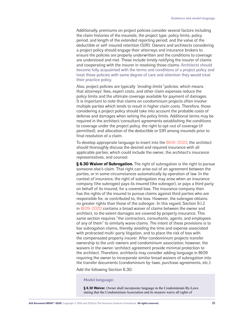Additionally, premiums on project policies consider several factors including the claim histories of the insureds; the project type; policy limits, policy period, and length of the extended reporting period; and the value of the deductible or self-insured retention (SIR). Owners and architects considering a project policy should engage their attorneys and insurance brokers to ensure the policies are properly underwritten and the conditions to coverage are understood and met. These include timely notifying the insurer of claims and cooperating with the insurer in resolving those claims. Architects should become fully acquainted with the terms and conditions of a project policy and treat these policies with same degree of care and attention they would treat their practice policy.

Also, project policies are typically "eroding limits" policies; which means that attorneys' fees, expert costs, and other claim expenses reduce the policy limits and the ultimate coverage available for payment of damages. It is important to note that claims on condominium projects often involve multiple parties which tends to result in higher claim costs. Therefore, those considering a project policy should take into account the probable costs of defense and damages when setting the policy limits. Additional terms may be required in the architect/consultant agreements establishing the conditions to coverage under the project policy, the right to opt-out of coverage (if permitted), and allocation of the deductible or SIR among insureds prior to final resolution of a claim.

To develop appropriate language to insert into the [B109-2020,](https://www.aiacontracts.org/contract-documents/6318554-owner-architect-multi-familymixed-use-residential) the architect should thoroughly discuss the desired and required insurance with all applicable parties, which could include the owner, the architect's insurance representatives, and counsel.

**§ 6.30 Waiver of Subrogation.** The right of subrogation is the right to pursue someone else's claim. That right can arise out of an agreement between the parties, or in some circumstances automatically by operation of law. In the context of insurance, the right of subrogation may arise when an insurance company (the subrogee) pays its insured (the subrogor), or pays a third party on behalf of its insured, for a covered loss. The insurance company then has the rights of the insured to pursue claims against third parties who are responsible for, or contributed to, the loss. However, the subrogee obtains no greater rights than those of the subrogor. In this regard, Section 9.1.2 in [B109-2020](https://www.aiacontracts.org/contract-documents/6318554-owner-architect-multi-familymixed-use-residential) contains a broad waiver of claims between the owner and architect, to the extent damages are covered by property insurance. This same section requires "the contractors, consultants, agents, and employees of any of them" to similarly waive claims. The intent of these provisions is to bar subrogation claims, thereby avoiding the time and expense associated with protracted multi-party litigation, and to place the risk of loss with the compensated property insurer. After condominium projects transfer ownership to the unit-owners and condominium association, however, the waivers in the owner/architect agreement provide minimal protection to the architect. Therefore, architects may consider adding language in B109 requiring the owner to incorporate similar broad waivers of subrogation into the transfer documents (condominium by-laws, purchase agreements, etc.):

Add the following Section 6.30:

#### **Model language:**

**§ 6.30 Waiver.** Owner shall incorporate language in the Condominium By-Laws stating that the Condominium Association and its insurers waive all rights of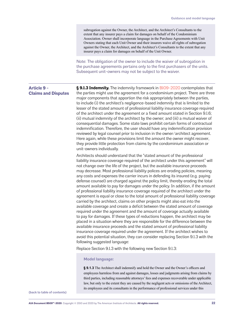<span id="page-21-0"></span>

|                                                  | subrogation against the Owner, the Architect, and the Architect's Consultants to the<br>extent that any insurer pays a claim for damages on behalf of the Condominium<br>Association. Owner shall incorporate language in the Purchase Agreements with Unit<br>Owners stating that each Unit Owner and their insurers waive all rights of subrogation<br>against the Owner, the Architect, and the Architect's Consultants to the extent that any<br>insurer pays a claim for damages on behalf of the Unit Owner.                                                                                                                                                                                                                                                                                                                                                                                                                                                                                                                                                                                                                                                                                                                                                                                                                                                                                                                                                                                                                           |
|--------------------------------------------------|----------------------------------------------------------------------------------------------------------------------------------------------------------------------------------------------------------------------------------------------------------------------------------------------------------------------------------------------------------------------------------------------------------------------------------------------------------------------------------------------------------------------------------------------------------------------------------------------------------------------------------------------------------------------------------------------------------------------------------------------------------------------------------------------------------------------------------------------------------------------------------------------------------------------------------------------------------------------------------------------------------------------------------------------------------------------------------------------------------------------------------------------------------------------------------------------------------------------------------------------------------------------------------------------------------------------------------------------------------------------------------------------------------------------------------------------------------------------------------------------------------------------------------------------|
|                                                  | Note: The obligation of the owner to include the waiver of subrogation in<br>the purchase agreements pertains only to the first purchasers of the units.<br>Subsequent unit-owners may not be subject to the waiver.                                                                                                                                                                                                                                                                                                                                                                                                                                                                                                                                                                                                                                                                                                                                                                                                                                                                                                                                                                                                                                                                                                                                                                                                                                                                                                                         |
| <b>Article 9 -</b><br><b>Claims and Disputes</b> | § 9.1.3 Indemnity. The indemnity framework in B109-2020 contemplates that<br>the parties might use the agreement for a condominium project. There are three<br>major components that apportion the risk appropriately between the parties,<br>to include (i) the architect's negligence-based indemnity that is limited to the<br>lesser of the stated amount of professional liability insurance coverage required<br>of the architect under the agreement or a fixed amount stated in Section 9.1.6;<br>(ii) mutual indemnity of the architect by the owner; and (iii) a mutual waiver of<br>consequential damages. Some state laws prohibit certain forms of contractual<br>indemnification. Therefore, the user should have any indemnification provision<br>reviewed by legal counsel prior to inclusion in the owner/architect agreement.<br>Here again, while these provisions limit the amount the owner might recover,<br>they provide little protection from claims by the condominium association or<br>unit-owners individually.                                                                                                                                                                                                                                                                                                                                                                                                                                                                                                 |
|                                                  | Architects should understand that the "stated amount of the professional<br>liability insurance coverage required of the architect under this agreement" will<br>not change over the life of the project, but the available insurance proceeds<br>may decrease. Most professional liability polices are eroding policies, meaning<br>any costs and expenses the carrier incurs in defending its insured (e.g. paying<br>defense counsel) are charged against the policy limit, thereby eroding the total<br>amount available to pay for damages under the policy. In addition, if the amount<br>of professional liability insurance coverage required of the architect under the<br>agreement is equal or close to the total amount of professional liability coverage<br>carried by the architect, claims on other projects might also eat into the<br>available coverage and create a deficit between the stated amount of coverage<br>required under the agreement and the amount of coverage actually available<br>to pay for damages. If these types of reductions happen, the architect may be<br>placed in a situation where they are responsible for the difference between the<br>available insurance proceeds and the stated amount of professional liability<br>insurance coverage required under the agreement. If the architect wishes to<br>avoid this potential situation, they can consider replacing Section 9.1.3 with the<br>following suggested language:<br>Replace Section 9.1.3 with the following new Section 9.1.3: |
|                                                  | <b>Model language:</b>                                                                                                                                                                                                                                                                                                                                                                                                                                                                                                                                                                                                                                                                                                                                                                                                                                                                                                                                                                                                                                                                                                                                                                                                                                                                                                                                                                                                                                                                                                                       |
|                                                  | § 9.1.3 The Architect shall indemnify and hold the Owner and the Owner's officers and<br>employees harmless from and against damages, losses and judgments arising from claims by<br>third parties, including reasonable attorneys' fees and expenses recoverable under applicable                                                                                                                                                                                                                                                                                                                                                                                                                                                                                                                                                                                                                                                                                                                                                                                                                                                                                                                                                                                                                                                                                                                                                                                                                                                           |

law, but only to the extent they are caused by the negligent acts or omissions of the Architect, its employees and its consultants in the performance of professional services under this

**[\(back to table of contents\)](#page-1-0)**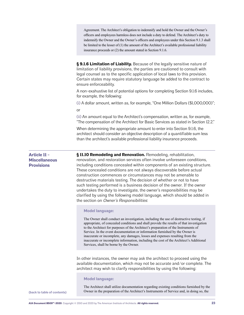Agreement. The Architect's obligation to indemnify and hold the Owner and the Owner's officers and employees harmless does not include a duty to defend. The Architect's duty to indemnify the Owner and the Owner's officers and employees under this Section 9.1.3 shall be limited to the lesser of (1) the amount of the Architect's available professional liability insurance proceeds or (2) the amount stated in Section 9.1.6.

**§ 9.1.6 Limitation of Liability.** Because of the legally sensitive nature of limitation of liability provisions, the parties are cautioned to consult with legal counsel as to the specific application of local laws to this provision. Certain states may require statutory language be added to the contract to ensure enforceability.

A non-exahustive list of potential options for completing Section 9.1.6 includes, for example, the following:

(i) A dollar amount, written as, for example, "One Million Dollars (\$1,000,000)";

or

(ii) An amount equal to the Architect's compensation, written as, for example, "The compensation of the Architect for Basic Services as stated in Section 12.2."

When determining the appropriate amount to enter into Section 9.1.6, the architect should consider an objective description of a quantifiable sum less than the architect's available professional liability insurance proceeds.

<span id="page-22-0"></span>**Article 11 - Miscellaneous Provisions**

**§ 11.10 Remodeling and Renovation.** Remodeling, rehabilitation, renovation, and restoration services often involve unforeseen conditions, including conditions concealed within components of an existing structure. These concealed conditions are not always discoverable before actual construction commences or circumstances may not be amenable to destructive materials testing. The decision of whether or not to have such testing performed is a business decision of the owner. If the owner undertakes the duty to investigate, the owner's responsibilities may be clarified by using the following model language, which should be added in the section on Owner's Responsibilities:

# **Model language:**

The Owner shall conduct an investigation, including the use of destructive testing, if appropriate, of concealed conditions and shall provide the results of that investigation to the Architect for purposes of the Architect's preparation of the Instruments of Service. In the event documentation or information furnished by the Owner is inaccurate or incomplete, any damages, losses and expenses resulting from the inaccurate or incomplete information, including the cost of the Architect's Additional Services, shall be borne by the Owner.

In other instances, the owner may ask the architect to proceed using the available documentation, which may not be accurate and/or complete. The architect may wish to clarify responsibilities by using the following:

#### **Model language:**

The Architect shall utilize documentation regarding existing conditions furnished by the Owner in the preparation of the Architect's Instruments of Service and, in doing so, the **[\(back to table of contents\)](#page-1-0)**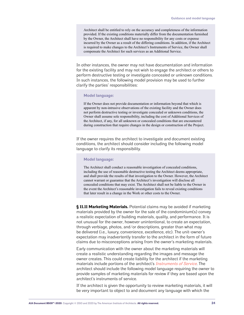Architect shall be entitled to rely on the accuracy and completeness of the information provided. If the existing conditions materially differ from the documentation furnished by the Owner, the Architect shall have no responsibility for any costs or expense incurred by the Owner as a result of the differing conditions. In addition, if the Architect is required to make changes to the Architect's Instruments of Service, the Owner shall compensate the Architect for such services as an Additional Service.

In other instances, the owner may not have documentation and information for the existing facility and may not wish to engage the architect or others to perform destructive testing or investigate concealed or unknown conditions. In such instances, the following model provision may be used to further clarify the parties' responsibilities:

#### **Model language:**

If the Owner does not provide documentation or information beyond that which is apparent by non-intrusive observations of the existing facility and the Owner does not perform destructive testing or investigate concealed or unknown conditions, the Owner shall assume sole responsibility, including the cost of Additional Services of the Architect, if any, for all unknown or concealed conditions that are encountered during construction that require changes in the design or construction of the Project.

If the owner requires the architect to investigate and document existing conditions, the architect should consider including the following model language to clarify its responsibility.

# **Model language:**

The Architect shall conduct a reasonable investigation of concealed conditions, including the use of reasonable destructive testing the Architect deems appropriate, and shall provide the results of that investigation to the Owner. However, the Architect cannot warrant or guarantee that the Architect's investigation will disclose all concealed conditions that may exist. The Architect shall not be liable to the Owner in the event the Architect's reasonable investigation fails to reveal existing conditions that later result in a change in the Work or other costs to the Owner.

**§ 11.11 Marketing Materials.** Potential claims may be avoided if marketing materials provided by the owner for the sale of the condominium(s) convey a realistic expectation of building materials, quality, and performance. It is not unusual for the owner, however unintentional, to create an expectation, through verbiage, photos, and/or descriptions, greater than what may be delivered (i.e., luxury, convenience, excellence, etc). The unit-owner's expectation may inadvertently transfer to the architect in the form of future claims due to misconceptions arising from the owner's marketing materials.

Early communication with the owner about the marketing materials will create a realistic understanding regarding the images and message the owner creates. This could create liability for the architect if the marketing materials include portions of the architect's *[Instruments of Service](https://help.aiacontracts.org/the-rights-of-an-architects-instruments-of-service/)*. The architect should include the following model language requiring the owner to provide samples of marketing materials for review if they are based upon the architect's instruments of service.

If the architect is given the opportunity to review marketing materials, it will be very important to object to and document any language with which the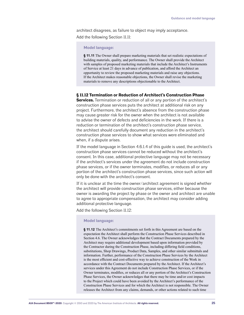architect disagrees, as failure to object may imply acceptance. Add the following Section 11.11:

# **Model language:**

**§ 11.11** The Owner shall prepare marketing materials that set realistic expectations of building materials, quality, and performance. The Owner shall provide the Architect with samples of proposed marketing materials that include the Architect's Instruments of Service at least 21 days in advance of publication, and afford the Architect an opportunity to review the proposed marketing materials and raise any objections. If the Architect makes reasonable objections, the Owner shall revise the marketing materials to remove any descriptions objectionable to the Architect.

# **§ 11.12 Termination or Reduction of Architect's Construction Phase**

**Services.** Termination or reduction of all or any portion of the architect's construction phase services puts the architect at additional risk on any project. Furthermore, the architect's absence from the construction phase may cause greater risk for the owner when the architect is not available to advise the owner of defects and deficiencies in the work. If there is a reduction or termination of the architect's construction phase service, the architect should carefully document any reduction in the architect's construction phase services to show what services were eliminated and when, if a dispute arises.

If the model language in Section 4.6.1.4 of this guide is used, the architect's construction phase services cannot be reduced without the architect's consent. In this case, additional protective language may not be necessary if the architect's services under the agreement do not include construction phase services, or if the owner terminates, modifies, or reduces all or any portion of the architect's construction phase services, since such action will only be done with the architect's consent.

If it is unclear at the time the owner/architect agreement is signed whether the architect will provide construction phase services, either because the owner is awarding the project by phase or the owner and architect are unable to agree to appropriate compensation, the architect may consider adding additional protective language.

Add the following Section 11.12:

### **Model language:**

**§ 11.12** The Architect's commitments set forth in this Agreement are based on the expectation the Architect shall perform the Construction Phase Services described in Section 4.6. The Owner acknowledges that the Contract Documents prepared by the Architect may require additional development based upon information provided by the Contractor during the Construction Phase, including differing field conditions, substitutions, Shop Drawings, Product Data, Samples, and other similar submittals and information. Further, performance of the Construction Phase Services by the Architect is the most efficient and cost-effective way to achieve construction of the Work in accordance with the Contract Documents prepared by the Architect. If the Architect's services under this Agreement do not include Construction Phase Services, or if the Owner terminates, modifies, or reduces all or any portion of the Architect's Construction Phase Services, the Owner acknowledges that there may be time and/or cost impacts to the Project which could have been avoided by the Architect's performance of the Construction Phase Services and for which the Architect is not responsible. The Owner releases the Architect from any claims, demands, or other actions related to such time